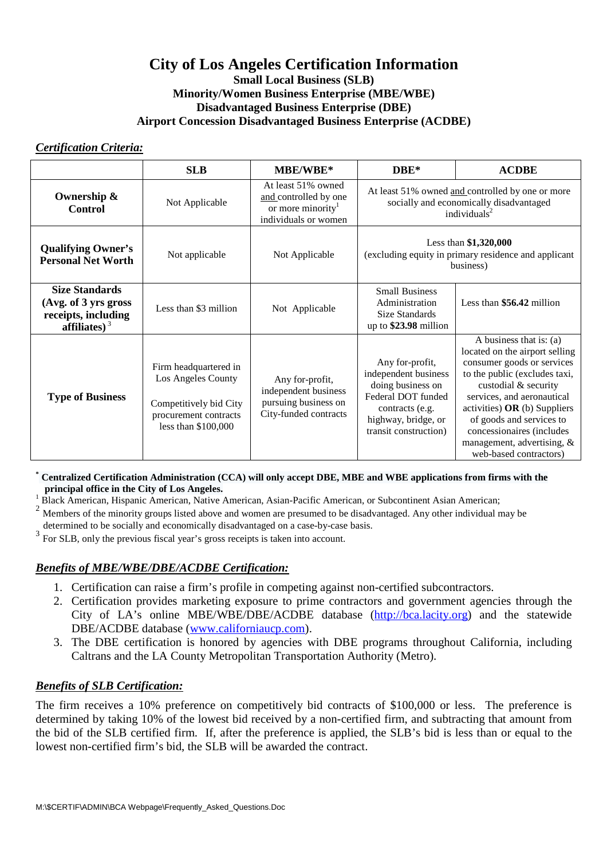# **City of Los Angeles Certification Information**

#### **Small Local Business (SLB) Minority/Women Business Enterprise (MBE/WBE) Disadvantaged Business Enterprise (DBE) Airport Concession Disadvantaged Business Enterprise (ACDBE)**

#### *Certification Criteria:*

|                                                                                         | <b>SLB</b>                                                                                                            | MBE/WBE*                                                                                             | $DBE*$                                                                                                                                                | <b>ACDBE</b>                                                                                                                                                                                                                                                                                                                      |
|-----------------------------------------------------------------------------------------|-----------------------------------------------------------------------------------------------------------------------|------------------------------------------------------------------------------------------------------|-------------------------------------------------------------------------------------------------------------------------------------------------------|-----------------------------------------------------------------------------------------------------------------------------------------------------------------------------------------------------------------------------------------------------------------------------------------------------------------------------------|
| Ownership &<br><b>Control</b>                                                           | Not Applicable                                                                                                        | At least 51% owned<br>and controlled by one<br>or more minority <sup>1</sup><br>individuals or women | At least 51% owned and controlled by one or more<br>socially and economically disadvantaged<br>individuals $2$                                        |                                                                                                                                                                                                                                                                                                                                   |
| <b>Qualifying Owner's</b><br><b>Personal Net Worth</b>                                  | Not applicable                                                                                                        | Not Applicable                                                                                       | Less than $$1,320,000$<br>(excluding equity in primary residence and applicant<br>business)                                                           |                                                                                                                                                                                                                                                                                                                                   |
| <b>Size Standards</b><br>(Avg. of 3 yrs gross<br>receipts, including<br>affiliates) $3$ | Less than \$3 million                                                                                                 | Not Applicable                                                                                       | <b>Small Business</b><br>Administration<br>Size Standards<br>up to \$23.98 million                                                                    | Less than \$56.42 million                                                                                                                                                                                                                                                                                                         |
| <b>Type of Business</b>                                                                 | Firm headquartered in<br>Los Angeles County<br>Competitively bid City<br>procurement contracts<br>less than \$100,000 | Any for-profit,<br>independent business<br>pursuing business on<br>City-funded contracts             | Any for-profit,<br>independent business<br>doing business on<br>Federal DOT funded<br>contracts (e.g.<br>highway, bridge, or<br>transit construction) | A business that is: (a)<br>located on the airport selling<br>consumer goods or services<br>to the public (excludes taxi,<br>custodial & security<br>services, and aeronautical<br>activities) $OR$ (b) Suppliers<br>of goods and services to<br>concessionaires (includes<br>management, advertising, &<br>web-based contractors) |

**\* Centralized Certification Administration (CCA) will only accept DBE, MBE and WBE applications from firms with the principal office in the City of Los Angeles.**

1 <sup>1</sup> Black American, Hispanic American, Native American, Asian-Pacific American, or Subcontinent Asian American;<br><sup>2</sup> Mambage of the minority groups listed above and we may are aresumed to be disadvantaged. Any other indivi

<sup>2</sup> Members of the minority groups listed above and women are presumed to be disadvantaged. Any other individual may be

 determined to be socially and economically disadvantaged on a case-by-case basis. 3

For SLB, only the previous fiscal year's gross receipts is taken into account.

## *Benefits of MBE/WBE/DBE/ACDBE Certification:*

- 1. Certification can raise a firm's profile in competing against non-certified subcontractors.
- 2. Certification provides marketing exposure to prime contractors and government agencies through the City of LA's online MBE/WBE/DBE/ACDBE database (http://bca.lacity.org) and the statewide DBE/ACDBE database (www.californiaucp.com).
- 3. The DBE certification is honored by agencies with DBE programs throughout California, including Caltrans and the LA County Metropolitan Transportation Authority (Metro).

## *Benefits of SLB Certification:*

The firm receives a 10% preference on competitively bid contracts of \$100,000 or less. The preference is determined by taking 10% of the lowest bid received by a non-certified firm, and subtracting that amount from the bid of the SLB certified firm. If, after the preference is applied, the SLB's bid is less than or equal to the lowest non-certified firm's bid, the SLB will be awarded the contract.